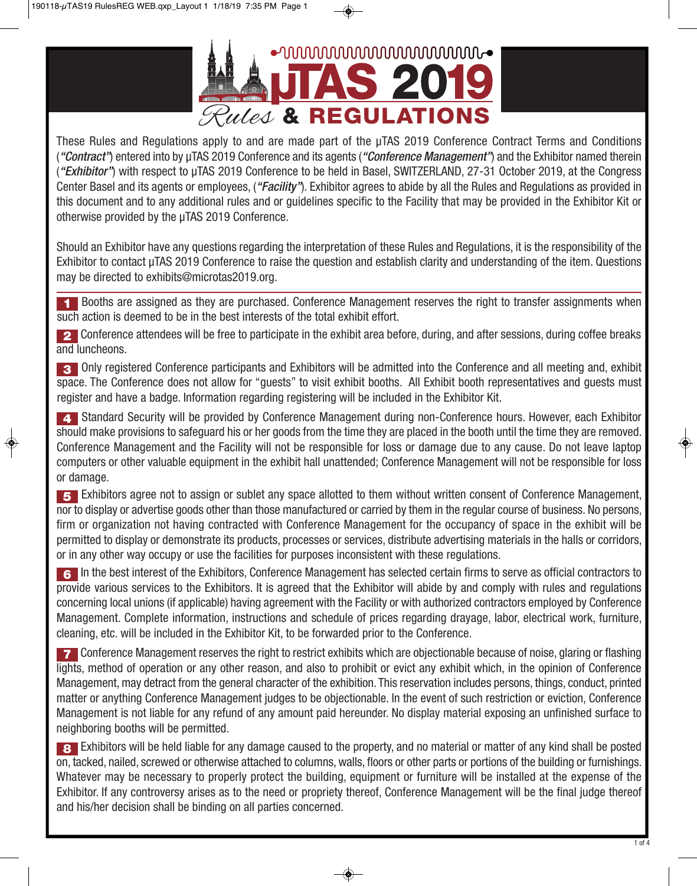

These Rules and Regulations apply to and are made part of the µTAS 2019 Conference Contract Terms and Conditions (*"Contract"*) entered into by µTAS 2019 Conference and its agents (*"Conference Management"*) and the Exhibitor named therein (*"Exhibitor"*) with respect to µTAS 2019 Conference to be held in Basel, SWITZERLAND, 27-31 October 2019, at the Congress Center Basel and its agents or employees, (*"Facility"*). Exhibitor agrees to abide by all the Rules and Regulations as provided in this document and to any additional rules and or guidelines specific to the Facility that may be provided in the Exhibitor Kit or otherwise provided by the µTAS 2019 Conference.

Should an Exhibitor have any questions regarding the interpretation of these Rules and Regulations, it is the responsibility of the Exhibitor to contact µTAS 2019 Conference to raise the question and establish clarity and understanding of the item. Questions may be directed to exhibits@microtas2019.org.

Booths are assigned as they are purchased. Conference Management reserves the right to transfer assignments when **1** such action is deemed to be in the best interests of the total exhibit effort.

2 Conference attendees will be free to participate in the exhibit area before, during, and after sessions, during coffee breaks and luncheons.

Only registered Conference participants and Exhibitors will be admitted into the Conference and all meeting and, exhibit **3** space. The Conference does not allow for "guests" to visit exhibit booths. All Exhibit booth representatives and guests must register and have a badge. Information regarding registering will be included in the Exhibitor Kit.

Standard Security will be provided by Conference Management during non-Conference hours. However, each Exhibitor **4** should make provisions to safeguard his or her goods from the time they are placed in the booth until the time they are removed. Conference Management and the Facility will not be responsible for loss or damage due to any cause. Do not leave laptop computers or other valuable equipment in the exhibit hall unattended; Conference Management will not be responsible for loss or damage.

Exhibitors agree not to assign or sublet any space allotted to them without written consent of Conference Management, **5** nor to display or advertise goods other than those manufactured or carried by them in the regular course of business. No persons, firm or organization not having contracted with Conference Management for the occupancy of space in the exhibit will be permitted to display or demonstrate its products, processes or services, distribute advertising materials in the halls or corridors, or in any other way occupy or use the facilities for purposes inconsistent with these regulations.

In the best interest of the Exhibitors, Conference Management has selected certain firms to serve as official contractors to **6** provide various services to the Exhibitors. It is agreed that the Exhibitor will abide by and comply with rules and regulations concerning local unions (if applicable) having agreement with the Facility or with authorized contractors employed by Conference Management. Complete information, instructions and schedule of prices regarding drayage, labor, electrical work, furniture, cleaning, etc. will be included in the Exhibitor Kit, to be forwarded prior to the Conference.

Conference Management reserves the right to restrict exhibits which are objectionable because of noise, glaring or flashing **7** lights, method of operation or any other reason, and also to prohibit or evict any exhibit which, in the opinion of Conference Management, may detract from the general character of the exhibition. This reservation includes persons, things, conduct, printed matter or anything Conference Management judges to be objectionable. In the event of such restriction or eviction, Conference Management is not liable for any refund of any amount paid hereunder. No display material exposing an unfinished surface to neighboring booths will be permitted.

Exhibitors will be held liable for any damage caused to the property, and no material or matter of any kind shall be posted **8** on, tacked, nailed, screwed or otherwise attached to columns,walls, floors or other parts or portions of the building or furnishings. Whatever may be necessary to properly protect the building, equipment or furniture will be installed at the expense of the Exhibitor. If any controversy arises as to the need or propriety thereof, Conference Management will be the final judge thereof and his/her decision shall be binding on all parties concerned.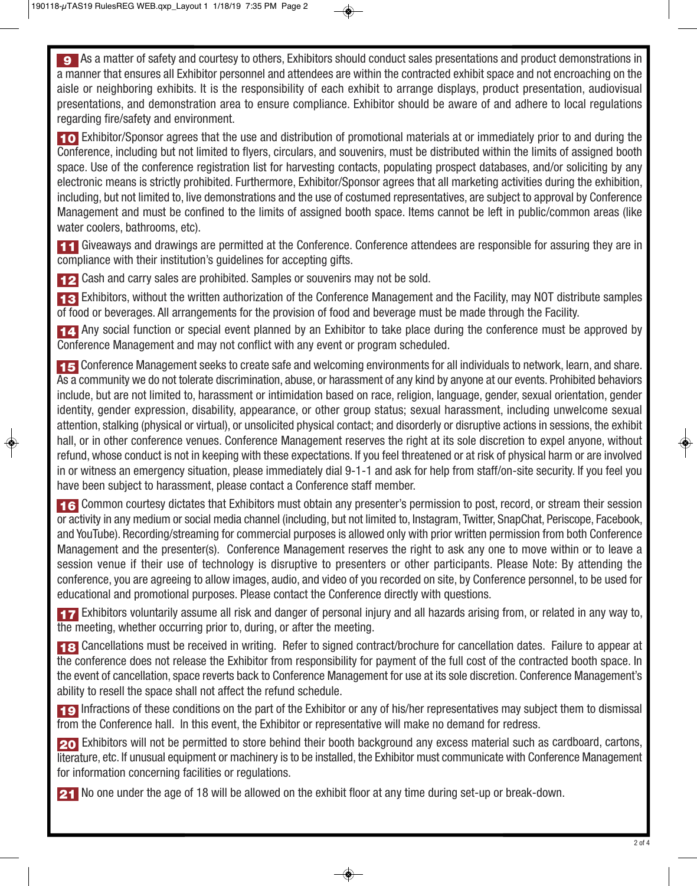As a matter of safety and courtesy to others, Exhibitors should conduct sales presentations and product demonstrations in **9** a manner that ensures all Exhibitor personnel and attendees are within the contracted exhibit space and not encroaching on the aisle or neighboring exhibits. It is the responsibility of each exhibit to arrange displays, product presentation, audiovisual presentations, and demonstration area to ensure compliance. Exhibitor should be aware of and adhere to local regulations regarding fire/safety and environment.

Exhibitor/Sponsor agrees that the use and distribution of promotional materials at or immediately prior to and during the **10** Conference, including but not limited to flyers, circulars, and souvenirs, must be distributed within the limits of assigned booth space. Use of the conference registration list for harvesting contacts, populating prospect databases, and/or soliciting by any electronic means is strictly prohibited. Furthermore, Exhibitor/Sponsor agrees that all marketing activities during the exhibition, including, but not limited to, live demonstrations and the use of costumed representatives, are subject to approval by Conference Management and must be confined to the limits of assigned booth space. Items cannot be left in public/common areas (like water coolers, bathrooms, etc).

11 Giveaways and drawings are permitted at the Conference. Conference attendees are responsible for assuring they are in compliance with their institution's guidelines for accepting gifts.

**12** Cash and carry sales are prohibited. Samples or souvenirs may not be sold.

13 Exhibitors, without the written authorization of the Conference Management and the Facility, may NOT distribute samples of food or beverages. All arrangements for the provision of food and beverage must be made through the Facility.

14 Any social function or special event planned by an Exhibitor to take place during the conference must be approved by Conference Management and may not conflict with any event or program scheduled.

15 Conference Management seeks to create safe and welcoming environments for all individuals to network, learn, and share. As a community we do not tolerate discrimination, abuse, or harassment of any kind by anyone at our events. Prohibited behaviors include, but are not limited to, harassment or intimidation based on race, religion, language, gender, sexual orientation, gender identity, gender expression, disability, appearance, or other group status; sexual harassment, including unwelcome sexual attention, stalking (physical or virtual), or unsolicited physical contact; and disorderly or disruptive actions in sessions, the exhibit hall, or in other conference venues. Conference Management reserves the right at its sole discretion to expel anyone, without refund, whose conduct is not in keeping with these expectations. If you feel threatened or at risk of physical harm or are involved in or witness an emergency situation, please immediately dial 9-1-1 and ask for help from staff/on-site security. If you feel you have been subject to harassment, please contact a Conference staff member.

16 Common courtesy dictates that Exhibitors must obtain any presenter's permission to post, record, or stream their session or activity in any medium or social media channel (including, but not limited to, Instagram, Twitter, SnapChat, Periscope, Facebook, and YouTube). Recording/streaming for commercial purposes is allowed only with prior written permission from both Conference Management and the presenter(s). Conference Management reserves the right to ask any one to move within or to leave a session venue if their use of technology is disruptive to presenters or other participants. Please Note: By attending the conference, you are agreeing to allow images, audio, and video of you recorded on site, by Conference personnel, to be used for educational and promotional purposes. Please contact the Conference directly with questions.

17 Exhibitors voluntarily assume all risk and danger of personal injury and all hazards arising from, or related in any way to, the meeting, whether occurring prior to, during, or after the meeting.

Cancellations must be received in writing. Refer to signed contract/brochure for cancellation dates. Failure to appear at **18** the conference does not release the Exhibitor from responsibility for payment of the full cost of the contracted booth space. In the event of cancellation, space reverts back to Conference Management for use at its sole discretion. Conference Management's ability to resell the space shall not affect the refund schedule.

19 Infractions of these conditions on the part of the Exhibitor or any of his/her representatives may subject them to dismissal from the Conference hall. In this event, the Exhibitor or representative will make no demand for redress.

Exhibitors will not be permitted to store behind their booth background any excess material such as cardboard, cartons, **20** literature, etc. If unusual equipment or machinery is to be installed, the Exhibitor must communicate with Conference Management for information concerning facilities or regulations.

**21** No one under the age of 18 will be allowed on the exhibit floor at any time during set-up or break-down.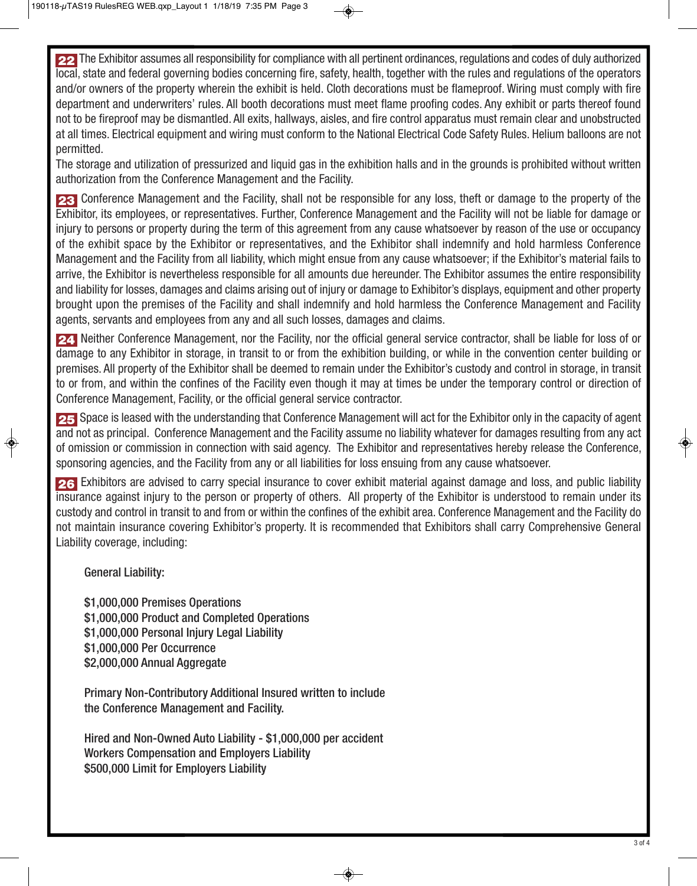The Exhibitor assumes all responsibility for compliance with all pertinent ordinances, regulations and codes of duly authorized **22** local, state and federal governing bodies concerning fire, safety, health, together with the rules and regulations of the operators and/or owners of the property wherein the exhibit is held. Cloth decorations must be flameproof. Wiring must comply with fire department and underwriters' rules. All booth decorations must meet flame proofing codes. Any exhibit or parts thereof found not to be fireproof may be dismantled. All exits, hallways, aisles, and fire control apparatus must remain clear and unobstructed at all times. Electrical equipment and wiring must conform to the National Electrical Code Safety Rules. Helium balloons are not permitted.

The storage and utilization of pressurized and liquid gas in the exhibition halls and in the grounds is prohibited without written authorization from the Conference Management and the Facility.

23 Conference Management and the Facility, shall not be responsible for any loss, theft or damage to the property of the Exhibitor, its employees, or representatives. Further, Conference Management and the Facility will not be liable for damage or injury to persons or property during the term of this agreement from any cause whatsoever by reason of the use or occupancy of the exhibit space by the Exhibitor or representatives, and the Exhibitor shall indemnify and hold harmless Conference Management and the Facility from all liability, which might ensue from any cause whatsoever; if the Exhibitor's material fails to arrive, the Exhibitor is nevertheless responsible for all amounts due hereunder. The Exhibitor assumes the entire responsibility and liability for losses, damages and claims arising out of injury or damage to Exhibitor's displays, equipment and other property brought upon the premises of the Facility and shall indemnify and hold harmless the Conference Management and Facility agents, servants and employees from any and all such losses, damages and claims.

Neither Conference Management, nor the Facility, nor the official general service contractor, shall be liable for loss of or **24** damage to any Exhibitor in storage, in transit to or from the exhibition building, or while in the convention center building or premises. All property of the Exhibitor shall be deemed to remain under the Exhibitor's custody and control in storage, in transit to or from, and within the confines of the Facility even though it may at times be under the temporary control or direction of Conference Management, Facility, or the official general service contractor.

Space is leased with the understanding that Conference Management will act for the Exhibitor only in the capacity of agent **25** and not as principal. Conference Management and the Facility assume no liability whatever for damages resulting from any act of omission or commission in connection with said agency. The Exhibitor and representatives hereby release the Conference, sponsoring agencies, and the Facility from any or all liabilities for loss ensuing from any cause whatsoever.

26 Exhibitors are advised to carry special insurance to cover exhibit material against damage and loss, and public liability insurance against injury to the person or property of others. All property of the Exhibitor is understood to remain under its custody and control in transit to and from or within the confines of the exhibit area. Conference Management and the Facility do not maintain insurance covering Exhibitor's property. It is recommended that Exhibitors shall carry Comprehensive General Liability coverage, including:

**General Liability:**

**\$1,000,000 Premises Operations \$1,000,000 Product and Completed Operations \$1,000,000 Personal Injury Legal Liability \$1,000,000 Per Occurrence \$2,000,000 Annual Aggregate**

**Primary Non-Contributory Additional Insured written to include the Conference Management and Facility.**

**Hired and Non-Owned Auto Liability - \$1,000,000 per accident Workers Compensation and Employers Liability \$500,000 Limit for Employers Liability**